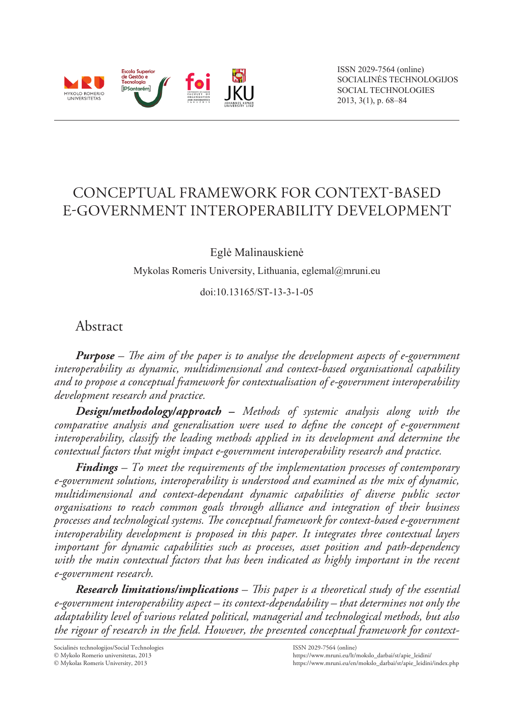

# Conceptual Framework for Context-Based E-Government Interoperability Development

Eglė Malinauskienė

Mykolas Romeris University, Lithuania, eglemal@mruni.eu

doi:10.13165/ST-13-3-1-05

## Abstract

*Purpose – The aim of the paper is to analyse the development aspects of e-government interoperability as dynamic, multidimensional and context-based organisational capability and to propose a conceptual framework for contextualisation of e-government interoperability development research and practice.* 

*Design/methodology/approach* **–** *Methods of systemic analysis along with the comparative analysis and generalisation were used to define the concept of e-government interoperability, classify the leading methods applied in its development and determine the contextual factors that might impact e-government interoperability research and practice.*

*Findings – To meet the requirements of the implementation processes of contemporary e-government solutions, interoperability is understood and examined as the mix of dynamic, multidimensional and context-dependant dynamic capabilities of diverse public sector organisations to reach common goals through alliance and integration of their business processes and technological systems. The conceptual framework for context-based e-government interoperability development is proposed in this paper. It integrates three contextual layers important for dynamic capabilities such as processes, asset position and path-dependency*  with the main contextual factors that has been indicated as highly important in the recent *e-government research.*

*Research limitations/implications – This paper is a theoretical study of the essential e-government interoperability aspect – its context-dependability – that determines not only the adaptability level of various related political, managerial and technological methods, but also the rigour of research in the field. However, the presented conceptual framework for context-*

Socialinės technologijos/Social Technologies

 Mykolo Romerio universitetas, 2013 Mykolas Romeris University, 2013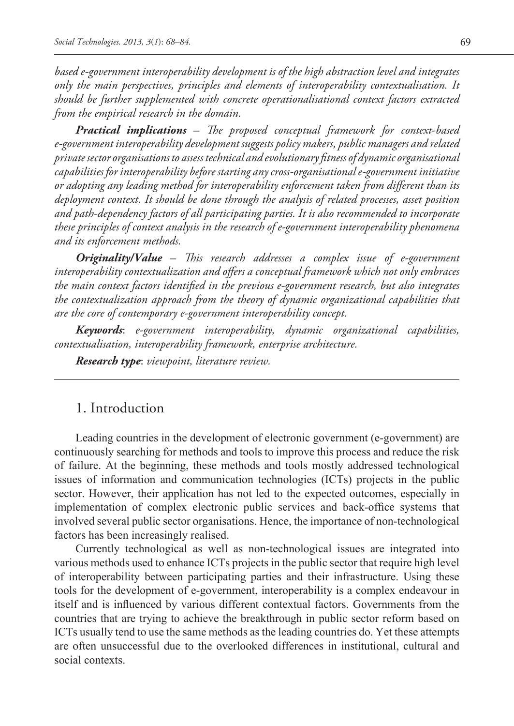*based e-government interoperability development is of the high abstraction level and integrates only the main perspectives, principles and elements of interoperability contextualisation. It should be further supplemented with concrete operationalisational context factors extracted from the empirical research in the domain.* 

*Practical implications – The proposed conceptual framework for context-based e-government interoperability development suggests policy makers, public managers and related private sector organisations to assess technical and evolutionary fitness of dynamic organisational capabilities for interoperability before starting any cross-organisational e-government initiative or adopting any leading method for interoperability enforcement taken from different than its deployment context. It should be done through the analysis of related processes, asset position and path-dependency factors of all participating parties. It is also recommended to incorporate these principles of context analysis in the research of e-government interoperability phenomena and its enforcement methods.*

*Originality/Value – This research addresses a complex issue of e-government interoperability contextualization and offers a conceptual framework which not only embraces the main context factors identified in the previous e-government research, but also integrates the contextualization approach from the theory of dynamic organizational capabilities that are the core of contemporary e-government interoperability concept.*

*Keywords*: *e-government interoperability, dynamic organizational capabilities, contextualisation, interoperability framework, enterprise architecture.*

*Research type*: *viewpoint, literature review.*

## 1. Introduction

Leading countries in the development of electronic government (e-government) are continuously searching for methods and tools to improve this process and reduce the risk of failure. At the beginning, these methods and tools mostly addressed technological issues of information and communication technologies (ICTs) projects in the public sector. However, their application has not led to the expected outcomes, especially in implementation of complex electronic public services and back-office systems that involved several public sector organisations. Hence, the importance of non-technological factors has been increasingly realised.

Currently technological as well as non-technological issues are integrated into various methods used to enhance ICTs projects in the public sector that require high level of interoperability between participating parties and their infrastructure. Using these tools for the development of e-government, interoperability is a complex endeavour in itself and is influenced by various different contextual factors. Governments from the countries that are trying to achieve the breakthrough in public sector reform based on ICTs usually tend to use the same methods as the leading countries do. Yet these attempts are often unsuccessful due to the overlooked differences in institutional, cultural and social contexts.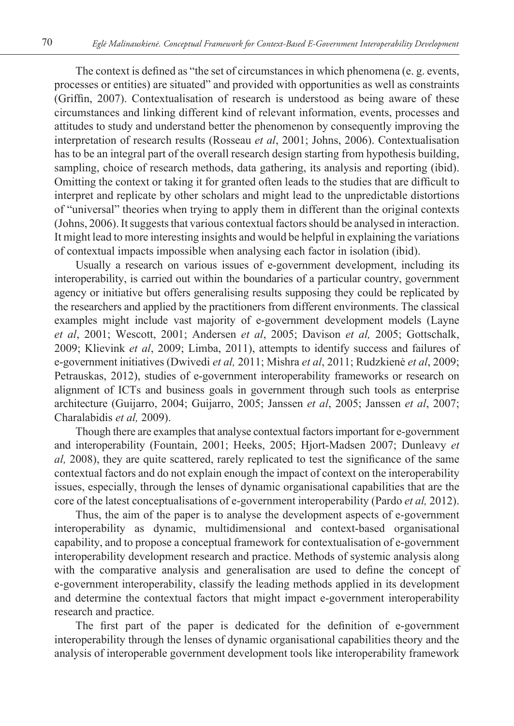The context is defined as "the set of circumstances in which phenomena (e. g. events, processes or entities) are situated" and provided with opportunities as well as constraints (Griffin, 2007). Contextualisation of research is understood as being aware of these circumstances and linking different kind of relevant information, events, processes and attitudes to study and understand better the phenomenon by consequently improving the interpretation of research results (Rosseau *et al*, 2001; Johns, 2006). Contextualisation has to be an integral part of the overall research design starting from hypothesis building, sampling, choice of research methods, data gathering, its analysis and reporting (ibid). Omitting the context or taking it for granted often leads to the studies that are difficult to interpret and replicate by other scholars and might lead to the unpredictable distortions of "universal" theories when trying to apply them in different than the original contexts (Johns, 2006). It suggests that various contextual factors should be analysed in interaction. It might lead to more interesting insights and would be helpful in explaining the variations of contextual impacts impossible when analysing each factor in isolation (ibid).

Usually a research on various issues of e-government development, including its interoperability, is carried out within the boundaries of a particular country, government agency or initiative but offers generalising results supposing they could be replicated by the researchers and applied by the practitioners from different environments. The classical examples might include vast majority of e-government development models (Layne *et al*, 2001; Wescott, 2001; Andersen *et al*, 2005; Davison *et al,* 2005; Gottschalk, 2009; Klievink *et al*, 2009; Limba, 2011), attempts to identify success and failures of e-government initiatives (Dwivedi *et al,* 2011; Mishra *et al*, 2011; Rudzkienė *et al*, 2009; Petrauskas, 2012), studies of e-government interoperability frameworks or research on alignment of ICTs and business goals in government through such tools as enterprise architecture (Guijarro, 2004; Guijarro, 2005; Janssen *et al*, 2005; Janssen *et al*, 2007; Charalabidis *et al,* 2009).

Though there are examples that analyse contextual factors important for e-government and interoperability (Fountain, 2001; Heeks, 2005; Hjort-Madsen 2007; Dunleavy *et al,* 2008), they are quite scattered, rarely replicated to test the significance of the same contextual factors and do not explain enough the impact of context on the interoperability issues, especially, through the lenses of dynamic organisational capabilities that are the core of the latest conceptualisations of e-government interoperability (Pardo *et al,* 2012).

Thus, the aim of the paper is to analyse the development aspects of e-government interoperability as dynamic, multidimensional and context-based organisational capability, and to propose a conceptual framework for contextualisation of e-government interoperability development research and practice. Methods of systemic analysis along with the comparative analysis and generalisation are used to define the concept of e-government interoperability, classify the leading methods applied in its development and determine the contextual factors that might impact e-government interoperability research and practice.

The first part of the paper is dedicated for the definition of e-government interoperability through the lenses of dynamic organisational capabilities theory and the analysis of interoperable government development tools like interoperability framework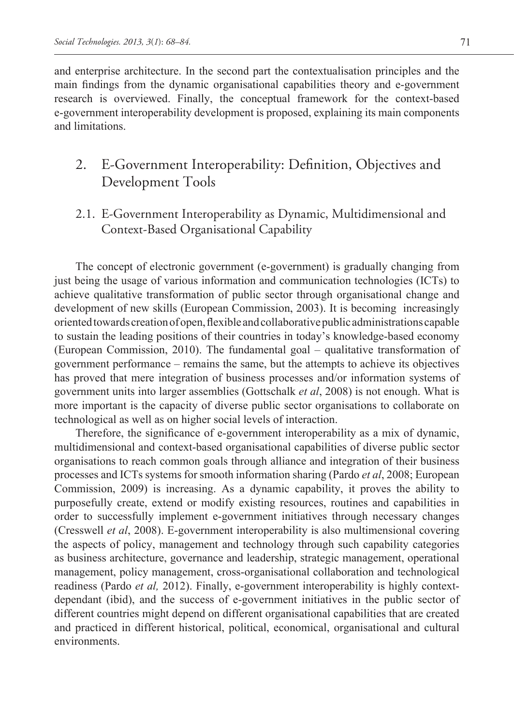and enterprise architecture. In the second part the contextualisation principles and the main findings from the dynamic organisational capabilities theory and e-government research is overviewed. Finally, the conceptual framework for the context-based e-government interoperability development is proposed, explaining its main components and limitations.

## 2. E-Government Interoperability: Definition, Objectives and Development Tools

2.1. E-Government Interoperability as Dynamic, Multidimensional and Context-Based Organisational Capability

The concept of electronic government (e-government) is gradually changing from just being the usage of various information and communication technologies (ICTs) to achieve qualitative transformation of public sector through organisational change and development of new skills (European Commission, 2003). It is becoming increasingly oriented towards creation of open, flexible and collaborative public administrations capable to sustain the leading positions of their countries in today's knowledge-based economy (European Commission, 2010). The fundamental goal – qualitative transformation of government performance – remains the same, but the attempts to achieve its objectives has proved that mere integration of business processes and/or information systems of government units into larger assemblies (Gottschalk *et al*, 2008) is not enough. What is more important is the capacity of diverse public sector organisations to collaborate on technological as well as on higher social levels of interaction.

Therefore, the significance of e-government interoperability as a mix of dynamic, multidimensional and context-based organisational capabilities of diverse public sector organisations to reach common goals through alliance and integration of their business processes and ICTs systems for smooth information sharing (Pardo *et al*, 2008; European Commission, 2009) is increasing. As a dynamic capability, it proves the ability to purposefully create, extend or modify existing resources, routines and capabilities in order to successfully implement e-government initiatives through necessary changes (Cresswell *et al*, 2008). E-government interoperability is also multimensional covering the aspects of policy, management and technology through such capability categories as business architecture, governance and leadership, strategic management, operational management, policy management, cross-organisational collaboration and technological readiness (Pardo *et al,* 2012). Finally, e-government interoperability is highly contextdependant (ibid), and the success of e-government initiatives in the public sector of different countries might depend on different organisational capabilities that are created and practiced in different historical, political, economical, organisational and cultural environments.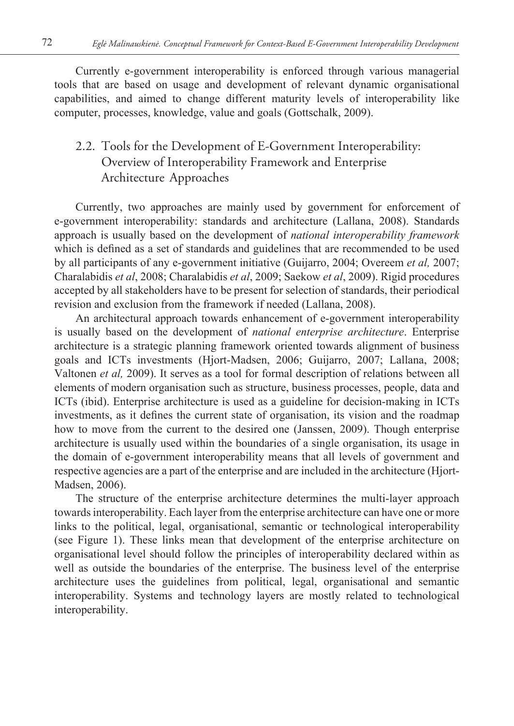Currently e-government interoperability is enforced through various managerial tools that are based on usage and development of relevant dynamic organisational capabilities, and aimed to change different maturity levels of interoperability like computer, processes, knowledge, value and goals (Gottschalk, 2009).

## 2.2. Tools for the Development of E-Government Interoperability: Overview of Interoperability Framework and Enterprise Architecture Approaches

Currently, two approaches are mainly used by government for enforcement of e-government interoperability: standards and architecture (Lallana, 2008). Standards approach is usually based on the development of *national interoperability framework*  which is defined as a set of standards and guidelines that are recommended to be used by all participants of any e-government initiative (Guijarro, 2004; Overeem *et al,* 2007; Charalabidis *et al*, 2008; Charalabidis *et al*, 2009; Saekow *et al*, 2009). Rigid procedures accepted by all stakeholders have to be present for selection of standards, their periodical revision and exclusion from the framework if needed (Lallana, 2008).

An architectural approach towards enhancement of e-government interoperability is usually based on the development of *national enterprise architecture*. Enterprise architecture is a strategic planning framework oriented towards alignment of business goals and ICTs investments (Hjort-Madsen, 2006; Guijarro, 2007; Lallana, 2008; Valtonen *et al,* 2009). It serves as a tool for formal description of relations between all elements of modern organisation such as structure, business processes, people, data and ICTs (ibid). Enterprise architecture is used as a guideline for decision-making in ICTs investments, as it defines the current state of organisation, its vision and the roadmap how to move from the current to the desired one (Janssen, 2009). Though enterprise architecture is usually used within the boundaries of a single organisation, its usage in the domain of e-government interoperability means that all levels of government and respective agencies are a part of the enterprise and are included in the architecture (Hjort-Madsen, 2006).

The structure of the enterprise architecture determines the multi-layer approach towards interoperability. Each layer from the enterprise architecture can have one or more links to the political, legal, organisational, semantic or technological interoperability (see Figure 1). These links mean that development of the enterprise architecture on organisational level should follow the principles of interoperability declared within as well as outside the boundaries of the enterprise. The business level of the enterprise architecture uses the guidelines from political, legal, organisational and semantic interoperability. Systems and technology layers are mostly related to technological interoperability.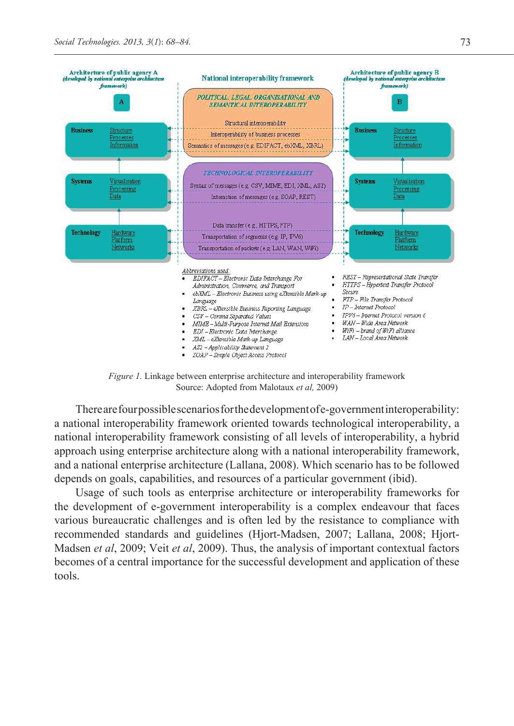

*Figure 1.* Linkage between enterprise architecture and interoperability framework Source: Adopted from Malotaux *et al,* 2009)

There are four possible scenarios for the development of e-government interoperability: a national interoperability framework oriented towards technological interoperability, a national interoperability framework consisting of all levels of interoperability, a hybrid approach using enterprise architecture along with a national interoperability framework, and a national enterprise architecture (Lallana, 2008). Which scenario has to be followed depends on goals, capabilities, and resources of a particular government (ibid).

Usage of such tools as enterprise architecture or interoperability frameworks for the development of e-government interoperability is a complex endeavour that faces various bureaucratic challenges and is often led by the resistance to compliance with recommended standards and guidelines (Hjort-Madsen, 2007; Lallana, 2008; Hjort-Madsen *et al*, 2009; Veit *et al*, 2009). Thus, the analysis of important contextual factors becomes of a central importance for the successful development and application of these tools.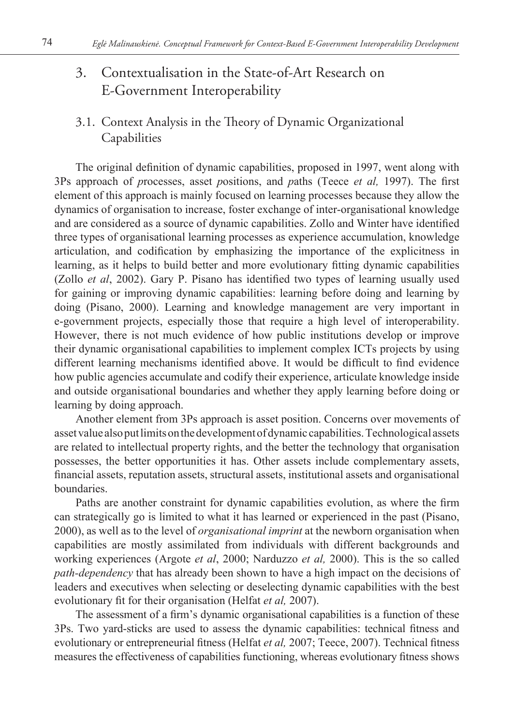# 3. Contextualisation in the State-of-Art Research on E-Government Interoperability

3.1. Context Analysis in the Theory of Dynamic Organizational Capabilities

The original definition of dynamic capabilities, proposed in 1997, went along with 3Ps approach of *p*rocesses, asset *p*ositions, and *p*aths (Teece *et al,* 1997). The first element of this approach is mainly focused on learning processes because they allow the dynamics of organisation to increase, foster exchange of inter-organisational knowledge and are considered as a source of dynamic capabilities. Zollo and Winter have identified three types of organisational learning processes as experience accumulation, knowledge articulation, and codification by emphasizing the importance of the explicitness in learning, as it helps to build better and more evolutionary fitting dynamic capabilities (Zollo *et al*, 2002). Gary P. Pisano has identified two types of learning usually used for gaining or improving dynamic capabilities: learning before doing and learning by doing (Pisano, 2000). Learning and knowledge management are very important in e-government projects, especially those that require a high level of interoperability. However, there is not much evidence of how public institutions develop or improve their dynamic organisational capabilities to implement complex ICTs projects by using different learning mechanisms identified above. It would be difficult to find evidence how public agencies accumulate and codify their experience, articulate knowledge inside and outside organisational boundaries and whether they apply learning before doing or learning by doing approach.

Another element from 3Ps approach is asset position. Concerns over movements of asset value also put limits on the development of dynamic capabilities. Technological assets are related to intellectual property rights, and the better the technology that organisation possesses, the better opportunities it has. Other assets include complementary assets, financial assets, reputation assets, structural assets, institutional assets and organisational boundaries.

Paths are another constraint for dynamic capabilities evolution, as where the firm can strategically go is limited to what it has learned or experienced in the past (Pisano, 2000), as well as to the level of *organisational imprint* at the newborn organisation when capabilities are mostly assimilated from individuals with different backgrounds and working experiences (Argote *et al*, 2000; Narduzzo *et al,* 2000). This is the so called *path-dependency* that has already been shown to have a high impact on the decisions of leaders and executives when selecting or deselecting dynamic capabilities with the best evolutionary fit for their organisation (Helfat *et al,* 2007).

The assessment of a firm's dynamic organisational capabilities is a function of these 3Ps. Two yard-sticks are used to assess the dynamic capabilities: technical fitness and evolutionary or entrepreneurial fitness (Helfat *et al,* 2007; Teece, 2007). Technical fitness measures the effectiveness of capabilities functioning, whereas evolutionary fitness shows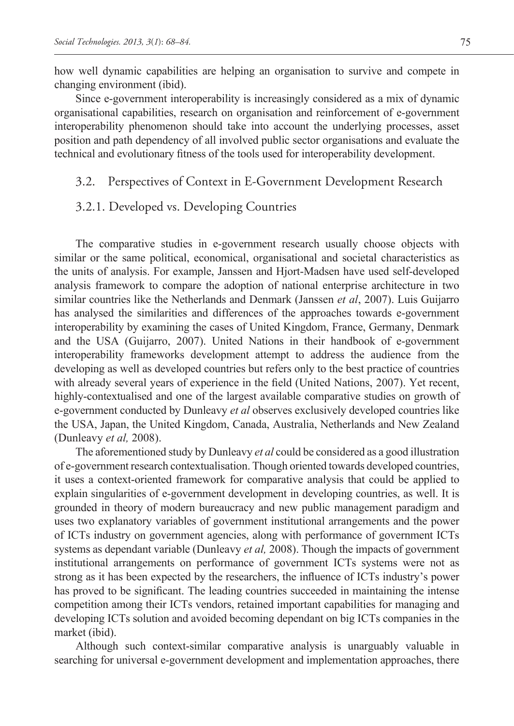how well dynamic capabilities are helping an organisation to survive and compete in changing environment (ibid).

Since e-government interoperability is increasingly considered as a mix of dynamic organisational capabilities, research on organisation and reinforcement of e-government interoperability phenomenon should take into account the underlying processes, asset position and path dependency of all involved public sector organisations and evaluate the technical and evolutionary fitness of the tools used for interoperability development.

#### 3.2. Perspectives of Context in E-Government Development Research

### 3.2.1. Developed vs. Developing Countries

The comparative studies in e-government research usually choose objects with similar or the same political, economical, organisational and societal characteristics as the units of analysis. For example, Janssen and Hjort-Madsen have used self-developed analysis framework to compare the adoption of national enterprise architecture in two similar countries like the Netherlands and Denmark (Janssen *et al*, 2007). Luis Guijarro has analysed the similarities and differences of the approaches towards e-government interoperability by examining the cases of United Kingdom, France, Germany, Denmark and the USA (Guijarro, 2007). United Nations in their handbook of e-government interoperability frameworks development attempt to address the audience from the developing as well as developed countries but refers only to the best practice of countries with already several years of experience in the field (United Nations, 2007). Yet recent, highly-contextualised and one of the largest available comparative studies on growth of e-government conducted by Dunleavy *et al* observes exclusively developed countries like the USA, Japan, the United Kingdom, Canada, Australia, Netherlands and New Zealand (Dunleavy *et al,* 2008).

The aforementioned study by Dunleavy *et al* could be considered as a good illustration of e-government research contextualisation. Though oriented towards developed countries, it uses a context-oriented framework for comparative analysis that could be applied to explain singularities of e-government development in developing countries, as well. It is grounded in theory of modern bureaucracy and new public management paradigm and uses two explanatory variables of government institutional arrangements and the power of ICTs industry on government agencies, along with performance of government ICTs systems as dependant variable (Dunleavy *et al,* 2008). Though the impacts of government institutional arrangements on performance of government ICTs systems were not as strong as it has been expected by the researchers, the influence of ICTs industry's power has proved to be significant. The leading countries succeeded in maintaining the intense competition among their ICTs vendors, retained important capabilities for managing and developing ICTs solution and avoided becoming dependant on big ICTs companies in the market (ibid).

Although such context-similar comparative analysis is unarguably valuable in searching for universal e-government development and implementation approaches, there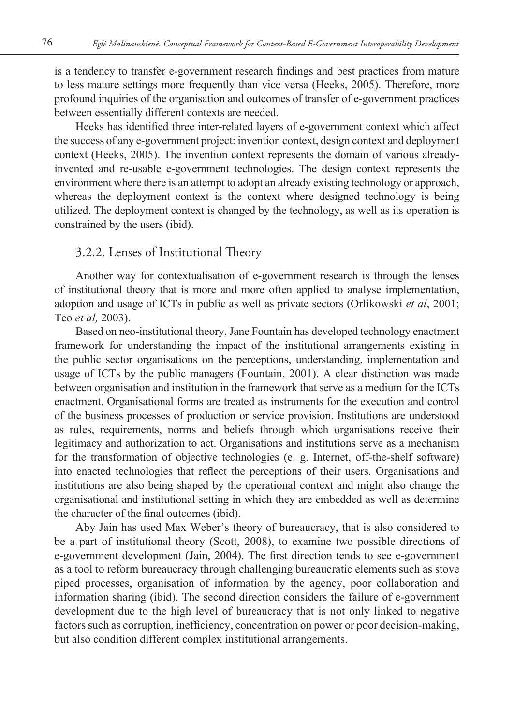is a tendency to transfer e-government research findings and best practices from mature to less mature settings more frequently than vice versa (Heeks, 2005). Therefore, more profound inquiries of the organisation and outcomes of transfer of e-government practices between essentially different contexts are needed.

Heeks has identified three inter-related layers of e-government context which affect the success of any e-government project: invention context, design context and deployment context (Heeks, 2005). The invention context represents the domain of various alreadyinvented and re-usable e-government technologies. The design context represents the environment where there is an attempt to adopt an already existing technology or approach, whereas the deployment context is the context where designed technology is being utilized. The deployment context is changed by the technology, as well as its operation is constrained by the users (ibid).

### 3.2.2. Lenses of Institutional Theory

Another way for contextualisation of e-government research is through the lenses of institutional theory that is more and more often applied to analyse implementation, adoption and usage of ICTs in public as well as private sectors (Orlikowski *et al*, 2001; Teo *et al,* 2003).

Based on neo-institutional theory, Jane Fountain has developed technology enactment framework for understanding the impact of the institutional arrangements existing in the public sector organisations on the perceptions, understanding, implementation and usage of ICTs by the public managers (Fountain, 2001). A clear distinction was made between organisation and institution in the framework that serve as a medium for the ICTs enactment. Organisational forms are treated as instruments for the execution and control of the business processes of production or service provision. Institutions are understood as rules, requirements, norms and beliefs through which organisations receive their legitimacy and authorization to act. Organisations and institutions serve as a mechanism for the transformation of objective technologies (e. g. Internet, off-the-shelf software) into enacted technologies that reflect the perceptions of their users. Organisations and institutions are also being shaped by the operational context and might also change the organisational and institutional setting in which they are embedded as well as determine the character of the final outcomes (ibid).

Aby Jain has used Max Weber's theory of bureaucracy, that is also considered to be a part of institutional theory (Scott, 2008), to examine two possible directions of e-government development (Jain, 2004). The first direction tends to see e-government as a tool to reform bureaucracy through challenging bureaucratic elements such as stove piped processes, organisation of information by the agency, poor collaboration and information sharing (ibid). The second direction considers the failure of e-government development due to the high level of bureaucracy that is not only linked to negative factors such as corruption, inefficiency, concentration on power or poor decision-making, but also condition different complex institutional arrangements.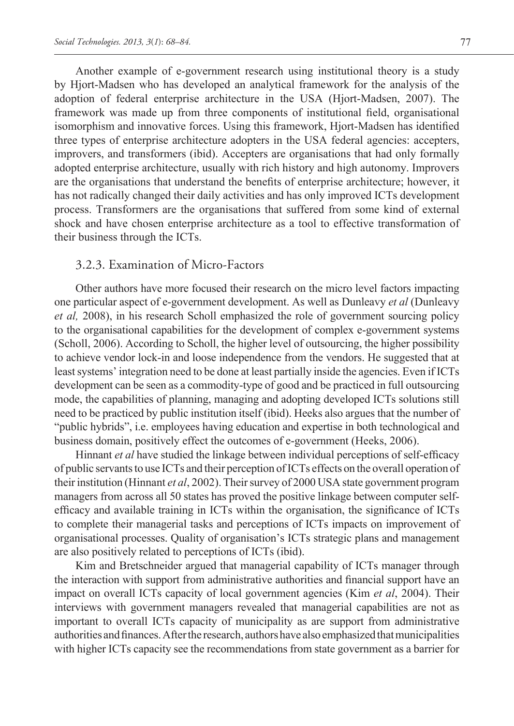Another example of e-government research using institutional theory is a study by Hjort-Madsen who has developed an analytical framework for the analysis of the adoption of federal enterprise architecture in the USA (Hjort-Madsen, 2007). The framework was made up from three components of institutional field, organisational isomorphism and innovative forces. Using this framework, Hjort-Madsen has identified three types of enterprise architecture adopters in the USA federal agencies: accepters, improvers, and transformers (ibid). Accepters are organisations that had only formally adopted enterprise architecture, usually with rich history and high autonomy. Improvers are the organisations that understand the benefits of enterprise architecture; however, it has not radically changed their daily activities and has only improved ICTs development process. Transformers are the organisations that suffered from some kind of external shock and have chosen enterprise architecture as a tool to effective transformation of their business through the ICTs.

#### 3.2.3. Examination of Micro-Factors

Other authors have more focused their research on the micro level factors impacting one particular aspect of e-government development. As well as Dunleavy *et al* (Dunleavy *et al,* 2008), in his research Scholl emphasized the role of government sourcing policy to the organisational capabilities for the development of complex e-government systems (Scholl, 2006). According to Scholl, the higher level of outsourcing, the higher possibility to achieve vendor lock-in and loose independence from the vendors. He suggested that at least systems' integration need to be done at least partially inside the agencies. Even if ICTs development can be seen as a commodity-type of good and be practiced in full outsourcing mode, the capabilities of planning, managing and adopting developed ICTs solutions still need to be practiced by public institution itself (ibid). Heeks also argues that the number of "public hybrids", i.e. employees having education and expertise in both technological and business domain, positively effect the outcomes of e-government (Heeks, 2006).

Hinnant *et al* have studied the linkage between individual perceptions of self-efficacy of public servants to use ICTs and their perception of ICTs effects on the overall operation of their institution (Hinnant *et al*, 2002). Their survey of 2000 USA state government program managers from across all 50 states has proved the positive linkage between computer selfefficacy and available training in ICTs within the organisation, the significance of ICTs to complete their managerial tasks and perceptions of ICTs impacts on improvement of organisational processes. Quality of organisation's ICTs strategic plans and management are also positively related to perceptions of ICTs (ibid).

Kim and Bretschneider argued that managerial capability of ICTs manager through the interaction with support from administrative authorities and financial support have an impact on overall ICTs capacity of local government agencies (Kim *et al*, 2004). Their interviews with government managers revealed that managerial capabilities are not as important to overall ICTs capacity of municipality as are support from administrative authorities and finances. After the research, authors have also emphasized that municipalities with higher ICTs capacity see the recommendations from state government as a barrier for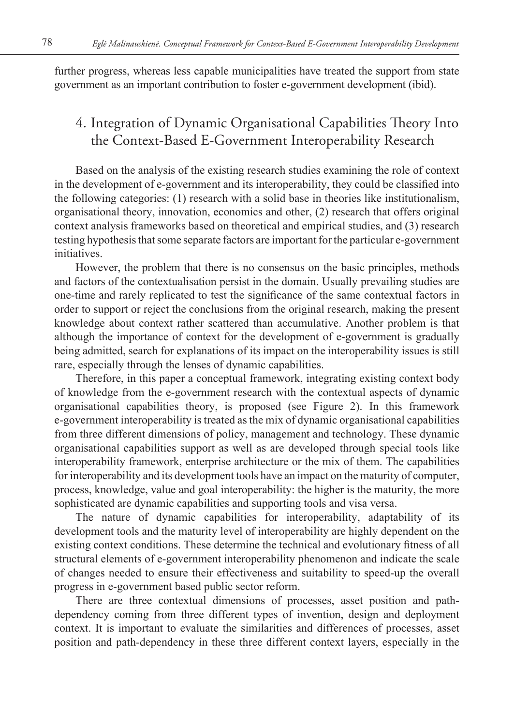further progress, whereas less capable municipalities have treated the support from state government as an important contribution to foster e-government development (ibid).

## 4. Integration of Dynamic Organisational Capabilities Theory Into the Context-Based E-Government Interoperability Research

Based on the analysis of the existing research studies examining the role of context in the development of e-government and its interoperability, they could be classified into the following categories: (1) research with a solid base in theories like institutionalism, organisational theory, innovation, economics and other, (2) research that offers original context analysis frameworks based on theoretical and empirical studies, and (3) research testing hypothesis that some separate factors are important for the particular e-government initiatives.

However, the problem that there is no consensus on the basic principles, methods and factors of the contextualisation persist in the domain. Usually prevailing studies are one-time and rarely replicated to test the significance of the same contextual factors in order to support or reject the conclusions from the original research, making the present knowledge about context rather scattered than accumulative. Another problem is that although the importance of context for the development of e-government is gradually being admitted, search for explanations of its impact on the interoperability issues is still rare, especially through the lenses of dynamic capabilities.

Therefore, in this paper a conceptual framework, integrating existing context body of knowledge from the e-government research with the contextual aspects of dynamic organisational capabilities theory, is proposed (see Figure 2). In this framework e-government interoperability is treated as the mix of dynamic organisational capabilities from three different dimensions of policy, management and technology. These dynamic organisational capabilities support as well as are developed through special tools like interoperability framework, enterprise architecture or the mix of them. The capabilities for interoperability and its development tools have an impact on the maturity of computer, process, knowledge, value and goal interoperability: the higher is the maturity, the more sophisticated are dynamic capabilities and supporting tools and visa versa.

The nature of dynamic capabilities for interoperability, adaptability of its development tools and the maturity level of interoperability are highly dependent on the existing context conditions. These determine the technical and evolutionary fitness of all structural elements of e-government interoperability phenomenon and indicate the scale of changes needed to ensure their effectiveness and suitability to speed-up the overall progress in e-government based public sector reform.

There are three contextual dimensions of processes, asset position and pathdependency coming from three different types of invention, design and deployment context. It is important to evaluate the similarities and differences of processes, asset position and path-dependency in these three different context layers, especially in the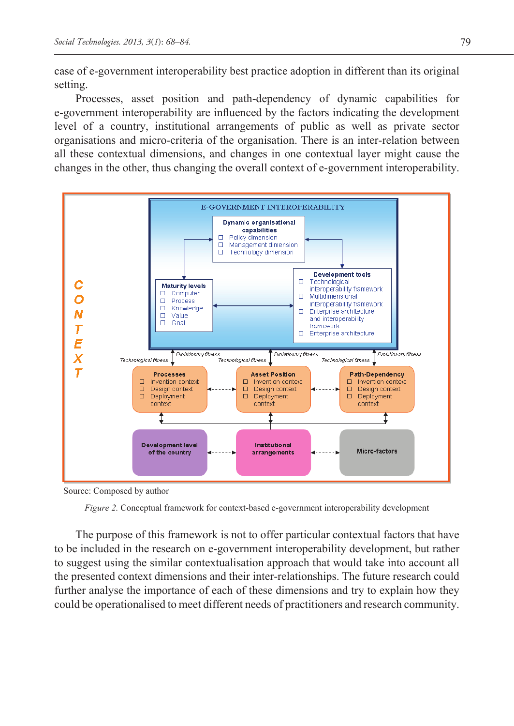case of e-government interoperability best practice adoption in different than its original setting.

Processes, asset position and path-dependency of dynamic capabilities for e-government interoperability are influenced by the factors indicating the development level of a country, institutional arrangements of public as well as private sector organisations and micro-criteria of the organisation. There is an inter-relation between all these contextual dimensions, and changes in one contextual layer might cause the changes in the other, thus changing the overall context of e-government interoperability.



Source: Composed by author

The purpose of this framework is not to offer particular contextual factors that have to be included in the research on e-government interoperability development, but rather to suggest using the similar contextualisation approach that would take into account all the presented context dimensions and their inter-relationships. The future research could further analyse the importance of each of these dimensions and try to explain how they could be operationalised to meet different needs of practitioners and research community.

*Figure 2.* Conceptual framework for context-based e-government interoperability development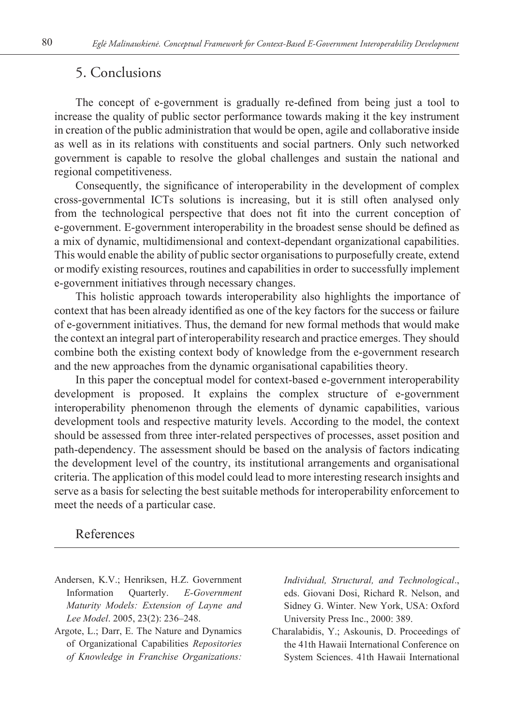### 5. Conclusions

The concept of e-government is gradually re-defined from being just a tool to increase the quality of public sector performance towards making it the key instrument in creation of the public administration that would be open, agile and collaborative inside as well as in its relations with constituents and social partners. Only such networked government is capable to resolve the global challenges and sustain the national and regional competitiveness.

Consequently, the significance of interoperability in the development of complex cross-governmental ICTs solutions is increasing, but it is still often analysed only from the technological perspective that does not fit into the current conception of e-government. E-government interoperability in the broadest sense should be defined as a mix of dynamic, multidimensional and context-dependant organizational capabilities. This would enable the ability of public sector organisations to purposefully create, extend or modify existing resources, routines and capabilities in order to successfully implement e-government initiatives through necessary changes.

This holistic approach towards interoperability also highlights the importance of context that has been already identified as one of the key factors for the success or failure of e-government initiatives. Thus, the demand for new formal methods that would make the context an integral part of interoperability research and practice emerges. They should combine both the existing context body of knowledge from the e-government research and the new approaches from the dynamic organisational capabilities theory.

In this paper the conceptual model for context-based e-government interoperability development is proposed. It explains the complex structure of e-government interoperability phenomenon through the elements of dynamic capabilities, various development tools and respective maturity levels. According to the model, the context should be assessed from three inter-related perspectives of processes, asset position and path-dependency. The assessment should be based on the analysis of factors indicating the development level of the country, its institutional arrangements and organisational criteria. The application of this model could lead to more interesting research insights and serve as a basis for selecting the best suitable methods for interoperability enforcement to meet the needs of a particular case.

#### References

- Andersen, K.V.; Henriksen, H.Z. Government Information Quarterly. *E-Government Maturity Models: Extension of Layne and Lee Model*. 2005, 23(2): 236–248.
- Argote, L.; Darr, E. The Nature and Dynamics of Organizational Capabilities *Repositories of Knowledge in Franchise Organizations:*

*Individual, Structural, and Technological*., eds. Giovani Dosi, Richard R. Nelson, and Sidney G. Winter. New York, USA: Oxford University Press Inc., 2000: 389.

Charalabidis, Y.; Askounis, D. Proceedings of the 41th Hawaii International Conference on System Sciences. 41th Hawaii International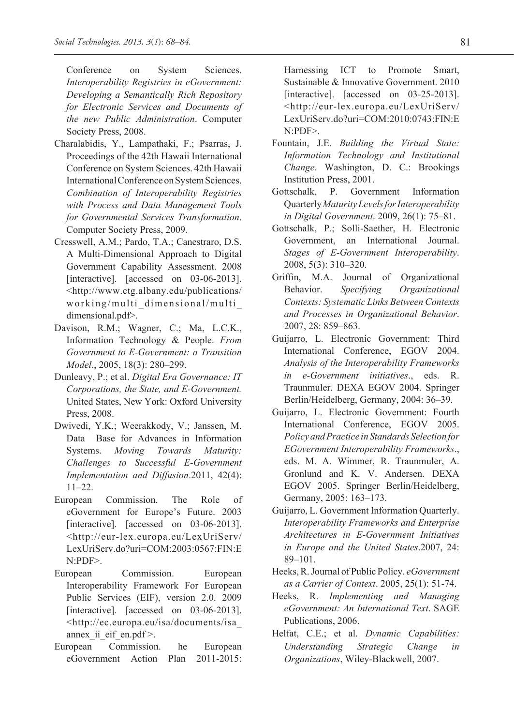Conference on System Sciences. *Interoperability Registries in eGovernment: Developing a Semantically Rich Repository for Electronic Services and Documents of the new Public Administration*. Computer Society Press, 2008.

- Charalabidis, Y., Lampathaki, F.; Psarras, J. Proceedings of the 42th Hawaii International Conference on System Sciences. 42th Hawaii International Conference on System Sciences. *Combination of Interoperability Registries with Process and Data Management Tools for Governmental Services Transformation*. Computer Society Press, 2009.
- Cresswell, A.M.; Pardo, T.A.; Canestraro, D.S. A Multi-Dimensional Approach to Digital Government Capability Assessment. 2008 [interactive]. [accessed on 03-06-2013]. <http://www.ctg.albany.edu/publications/ working/multi\_dimensional/multi\_ dimensional.pdf>.
- Davison, R.M.; Wagner, C.; Ma, L.C.K., Information Technology & People. *From Government to E-Government: a Transition Model*., 2005, 18(3): 280–299.
- Dunleavy, P.; et al. *Digital Era Governance: IT Corporations, the State, and E-Government.* United States, New York: Oxford University Press, 2008.
- Dwivedi, Y.K.; Weerakkody, V.; Janssen, M. Data Base for Advances in Information Systems. *Moving Towards Maturity: Challenges to Successful E-Government Implementation and Diffusion*.2011, 42(4): 11–22.
- European Commission. The Role of eGovernment for Europe's Future. 2003 [interactive]. [accessed on 03-06-2013]. <http://eur-lex.europa.eu/LexUriServ/ LexUriServ.do?uri=COM:2003:0567:FIN:E N:PDF>.
- European Commission. European Interoperability Framework For European Public Services (EIF), version 2.0. 2009 [interactive]. [accessed on 03-06-2013]. <http://ec.europa.eu/isa/documents/isa\_ annex ii eif en.pdf  $>$ .
- European Commission. he European eGovernment Action Plan 2011-2015:

Harnessing ICT to Promote Smart, Sustainable & Innovative Government. 2010 [interactive]. [accessed on 03-25-2013]. <http://eur-lex.europa.eu/LexUriServ/ LexUriServ.do?uri=COM:2010:0743:FIN:E  $N<sub>CPDF></sub>$ 

- Fountain, J.E. *Building the Virtual State: Information Technology and Institutional Change*. Washington, D. C.: Brookings Institution Press, 2001.
- Gottschalk, P. Government Information Quarterly *Maturity Levels for Interoperability in Digital Government*. 2009, 26(1): 75–81.
- Gottschalk, P.; Solli-Saether, H. Electronic Government, an International Journal. *Stages of E-Government Interoperability*. 2008, 5(3): 310–320.
- Griffin, M.A. Journal of Organizational Behavior. *Specifying Organizational Contexts: Systematic Links Between Contexts and Processes in Organizational Behavior*. 2007, 28: 859–863.
- Guijarro, L. Electronic Government: Third International Conference, EGOV 2004. *Analysis of the Interoperability Frameworks in e-Government initiatives*., eds. R. Traunmuler. DEXA EGOV 2004. Springer Berlin/Heidelberg, Germany, 2004: 36–39.
- Guijarro, L. Electronic Government: Fourth International Conference, EGOV 2005. *Policy and Practice in Standards Selection for EGovernment Interoperability Frameworks*., eds. M. A. Wimmer, R. Traunmuler, A. Gronlund and K. V. Andersen. DEXA EGOV 2005. Springer Berlin/Heidelberg, Germany, 2005: 163–173.
- Guijarro, L. Government Information Quarterly. *Interoperability Frameworks and Enterprise Architectures in E-Government Initiatives in Europe and the United States*.2007, 24: 89–101.
- Heeks, R. Journal of Public Policy. *eGovernment as a Carrier of Context*. 2005, 25(1): 51-74.
- Heeks, R. *Implementing and Managing eGovernment: An International Text*. SAGE Publications, 2006.
- Helfat, C.E.; et al. *Dynamic Capabilities: Understanding Strategic Change in Organizations*, Wiley-Blackwell, 2007.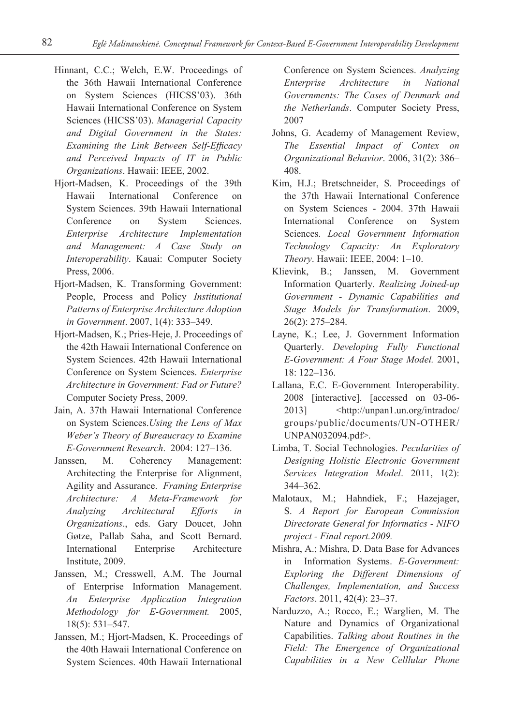- Hinnant, C.C.; Welch, E.W. Proceedings of the 36th Hawaii International Conference on System Sciences (HICSS'03). 36th Hawaii International Conference on System Sciences (HICSS'03). *Managerial Capacity and Digital Government in the States: Examining the Link Between Self-Efficacy and Perceived Impacts of IT in Public Organizations*. Hawaii: IEEE, 2002.
- Hjort-Madsen, K. Proceedings of the 39th Hawaii International Conference on System Sciences. 39th Hawaii International Conference on System Sciences. *Enterprise Architecture Implementation and Management: A Case Study on Interoperability*. Kauai: Computer Society Press, 2006.
- Hjort-Madsen, K. Transforming Government: People, Process and Policy *Institutional Patterns of Enterprise Architecture Adoption in Government*. 2007, 1(4): 333–349.
- Hjort-Madsen, K.; Pries-Heje, J. Proceedings of the 42th Hawaii International Conference on System Sciences. 42th Hawaii International Conference on System Sciences. *Enterprise Architecture in Government: Fad or Future?* Computer Society Press, 2009.
- Jain, A. 37th Hawaii International Conference on System Sciences.*Using the Lens of Max Weber's Theory of Bureaucracy to Examine E-Government Research*. 2004: 127–136.
- Janssen, M. Coherency Management: Architecting the Enterprise for Alignment, Agility and Assurance. *Framing Enterprise Architecture: A Meta-Framework for Analyzing Architectural Efforts in Organizations*., eds. Gary Doucet, John Gøtze, Pallab Saha, and Scott Bernard. International Enterprise Architecture Institute, 2009.
- Janssen, M.; Cresswell, A.M. The Journal of Enterprise Information Management. *An Enterprise Application Integration Methodology for E-Government.* 2005, 18(5): 531–547.
- Janssen, M.; Hjort-Madsen, K. Proceedings of the 40th Hawaii International Conference on System Sciences. 40th Hawaii International

Conference on System Sciences. *Analyzing Enterprise Architecture in National Governments: The Cases of Denmark and the Netherlands*. Computer Society Press, 2007

- Johns, G. Academy of Management Review, *The Essential Impact of Contex on Organizational Behavior*. 2006, 31(2): 386– 408.
- Kim, H.J.; Bretschneider, S. Proceedings of the 37th Hawaii International Conference on System Sciences - 2004. 37th Hawaii International Conference on System Sciences. *Local Government Information Technology Capacity: An Exploratory Theory*. Hawaii: IEEE, 2004: 1–10.
- Klievink, B.; Janssen, M. Government Information Quarterly. *Realizing Joined-up Government - Dynamic Capabilities and Stage Models for Transformation*. 2009, 26(2): 275–284.
- Layne, K.; Lee, J. Government Information Quarterly. *Developing Fully Functional E-Government: A Four Stage Model.* 2001, 18: 122–136.
- Lallana, E.C. E-Government Interoperability. 2008 [interactive]. [accessed on 03-06- 2013] <http://unpan1.un.org/intradoc/ groups/public/documents/UN-OTHER/ UNPAN032094.pdf>.
- Limba, T. Social Technologies. *Pecularities of Designing Holistic Electronic Government Services Integration Model*. 2011, 1(2): 344–362.
- Malotaux, M.; Hahndiek, F.; Hazejager, S. *A Report for European Commission Directorate General for Informatics - NIFO project - Final report.2009.*
- Mishra, A.; Mishra, D. Data Base for Advances in Information Systems. *E-Government: Exploring the Different Dimensions of Challenges, Implementation, and Success Factors*. 2011, 42(4): 23–37.
- Narduzzo, A.; Rocco, E.; Warglien, M. The Nature and Dynamics of Organizational Capabilities. *Talking about Routines in the Field: The Emergence of Organizational Capabilities in a New Celllular Phone*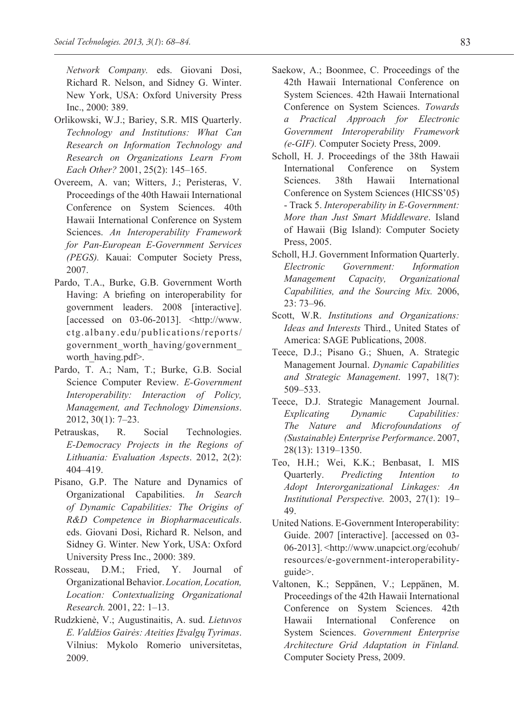*Network Company.* eds. Giovani Dosi, Richard R. Nelson, and Sidney G. Winter. New York, USA: Oxford University Press Inc., 2000: 389.

- Orlikowski, W.J.; Bariey, S.R. MIS Quarterly. *Technology and Institutions: What Can Research on Information Technology and Research on Organizations Learn From Each Other?* 2001, 25(2): 145–165.
- Overeem, A. van; Witters, J.; Peristeras, V. Proceedings of the 40th Hawaii International Conference on System Sciences. 40th Hawaii International Conference on System Sciences. *An Interoperability Framework for Pan-European E-Government Services (PEGS).* Kauai: Computer Society Press, 2007.
- Pardo, T.A., Burke, G.B. Government Worth Having: A briefing on interoperability for government leaders. 2008 [interactive].  $[accessed on 03-06-2013]$ .  $\lt$ http://www. ctg.albany.edu/publications/reports/ government\_worth\_having/government\_ worth\_having.pdf>.
- Pardo, T. A.; Nam, T.; Burke, G.B. Social Science Computer Review. *E-Government Interoperability: Interaction of Policy, Management, and Technology Dimensions*. 2012, 30(1): 7–23.
- Petrauskas, R. Social Technologies. *E-Democracy Projects in the Regions of Lithuania: Evaluation Aspects*. 2012, 2(2): 404–419.
- Pisano, G.P. The Nature and Dynamics of Organizational Capabilities. *In Search of Dynamic Capabilities: The Origins of R&D Competence in Biopharmaceuticals*. eds. Giovani Dosi, Richard R. Nelson, and Sidney G. Winter. New York, USA: Oxford University Press Inc., 2000: 389.
- Rosseau, D.M.; Fried, Y. Journal of Organizational Behavior. *Location, Location, Location: Contextualizing Organizational Research.* 2001, 22: 1–13.
- Rudzkienė, V.; Augustinaitis, A. sud. *Lietuvos E. Valdžios Gairės: Ateities Įžvalgų Tyrimas*. Vilnius: Mykolo Romerio universitetas, 2009.
- Saekow, A.; Boonmee, C. Proceedings of the 42th Hawaii International Conference on System Sciences. 42th Hawaii International Conference on System Sciences. *Towards a Practical Approach for Electronic Government Interoperability Framework (e-GIF).* Computer Society Press, 2009.
- Scholl, H. J. Proceedings of the 38th Hawaii International Conference on System Sciences. 38th Hawaii International Conference on System Sciences (HICSS'05) - Track 5. *Interoperability in E-Government: More than Just Smart Middleware*. Island of Hawaii (Big Island): Computer Society Press, 2005.
- Scholl, H.J. Government Information Quarterly. *Electronic Government: Information Management Capacity, Organizational Capabilities, and the Sourcing Mix.* 2006, 23: 73–96.
- Scott, W.R. *Institutions and Organizations: Ideas and Interests* Third., United States of America: SAGE Publications, 2008.
- Teece, D.J.; Pisano G.; Shuen, A. Strategic Management Journal. *Dynamic Capabilities and Strategic Management*. 1997, 18(7): 509–533.
- Teece, D.J. Strategic Management Journal. *Explicating Dynamic Capabilities: The Nature and Microfoundations of (Sustainable) Enterprise Performance*. 2007, 28(13): 1319–1350.
- Teo, H.H.; Wei, K.K.; Benbasat, I. MIS Quarterly. *Predicting Intention to Adopt Interorganizational Linkages: An Institutional Perspective.* 2003, 27(1): 19– 49.
- United Nations. E-Government Interoperability: Guide. 2007 [interactive]. [accessed on 03- 06-2013]. <http://www.unapcict.org/ecohub/ resources/e-government-interoperabilityguide>.
- Valtonen, K.; Seppänen, V.; Leppänen, M. Proceedings of the 42th Hawaii International Conference on System Sciences. 42th Hawaii International Conference on System Sciences. *Government Enterprise Architecture Grid Adaptation in Finland.* Computer Society Press, 2009.